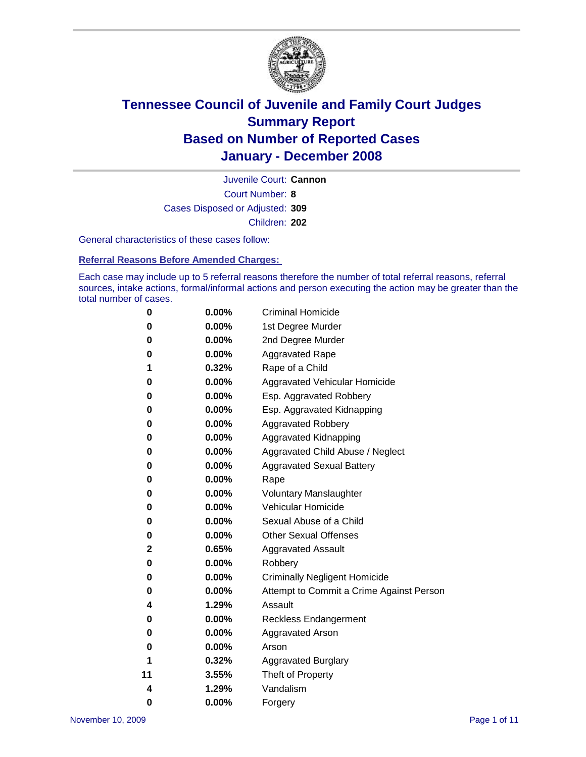

Court Number: **8** Juvenile Court: **Cannon** Cases Disposed or Adjusted: **309** Children: **202**

General characteristics of these cases follow:

**Referral Reasons Before Amended Charges:** 

Each case may include up to 5 referral reasons therefore the number of total referral reasons, referral sources, intake actions, formal/informal actions and person executing the action may be greater than the total number of cases.

| 0  | 0.00%    | <b>Criminal Homicide</b>                 |
|----|----------|------------------------------------------|
| 0  | 0.00%    | 1st Degree Murder                        |
| 0  | $0.00\%$ | 2nd Degree Murder                        |
| 0  | 0.00%    | <b>Aggravated Rape</b>                   |
| 1  | 0.32%    | Rape of a Child                          |
| 0  | 0.00%    | Aggravated Vehicular Homicide            |
| 0  | 0.00%    | Esp. Aggravated Robbery                  |
| 0  | 0.00%    | Esp. Aggravated Kidnapping               |
| 0  | 0.00%    | <b>Aggravated Robbery</b>                |
| 0  | $0.00\%$ | Aggravated Kidnapping                    |
| 0  | 0.00%    | Aggravated Child Abuse / Neglect         |
| 0  | $0.00\%$ | <b>Aggravated Sexual Battery</b>         |
| 0  | 0.00%    | Rape                                     |
| 0  | 0.00%    | <b>Voluntary Manslaughter</b>            |
| 0  | 0.00%    | Vehicular Homicide                       |
| 0  | 0.00%    | Sexual Abuse of a Child                  |
| 0  | 0.00%    | <b>Other Sexual Offenses</b>             |
| 2  | 0.65%    | <b>Aggravated Assault</b>                |
| 0  | $0.00\%$ | Robbery                                  |
| 0  | 0.00%    | <b>Criminally Negligent Homicide</b>     |
| 0  | 0.00%    | Attempt to Commit a Crime Against Person |
| 4  | 1.29%    | Assault                                  |
| 0  | 0.00%    | <b>Reckless Endangerment</b>             |
| 0  | 0.00%    | <b>Aggravated Arson</b>                  |
| 0  | 0.00%    | Arson                                    |
| 1  | 0.32%    | <b>Aggravated Burglary</b>               |
| 11 | 3.55%    | Theft of Property                        |
| 4  | 1.29%    | Vandalism                                |
| 0  | 0.00%    | Forgery                                  |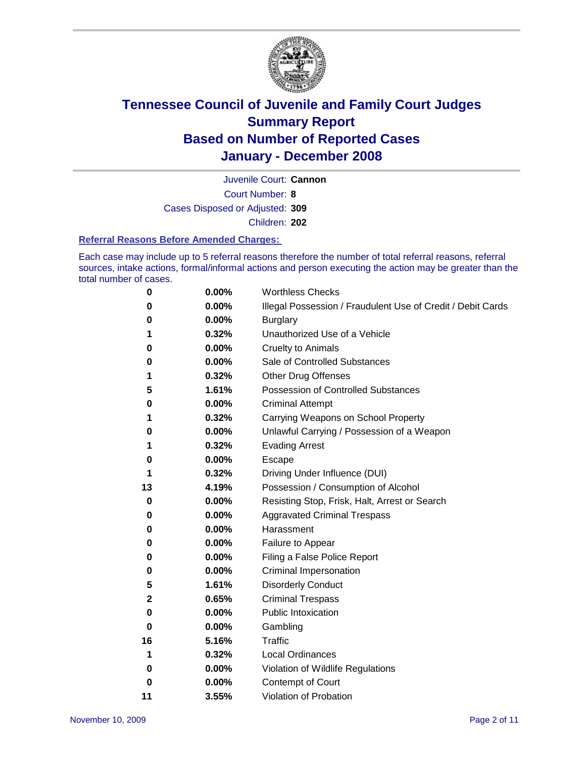

Court Number: **8** Juvenile Court: **Cannon** Cases Disposed or Adjusted: **309** Children: **202**

#### **Referral Reasons Before Amended Charges:**

Each case may include up to 5 referral reasons therefore the number of total referral reasons, referral sources, intake actions, formal/informal actions and person executing the action may be greater than the total number of cases.

| 0           | 0.00% | <b>Worthless Checks</b>                                     |
|-------------|-------|-------------------------------------------------------------|
| 0           | 0.00% | Illegal Possession / Fraudulent Use of Credit / Debit Cards |
| 0           | 0.00% | <b>Burglary</b>                                             |
| 1           | 0.32% | Unauthorized Use of a Vehicle                               |
| 0           | 0.00% | <b>Cruelty to Animals</b>                                   |
| 0           | 0.00% | Sale of Controlled Substances                               |
| 1           | 0.32% | <b>Other Drug Offenses</b>                                  |
| 5           | 1.61% | <b>Possession of Controlled Substances</b>                  |
| 0           | 0.00% | <b>Criminal Attempt</b>                                     |
| 1           | 0.32% | Carrying Weapons on School Property                         |
| 0           | 0.00% | Unlawful Carrying / Possession of a Weapon                  |
| 1           | 0.32% | <b>Evading Arrest</b>                                       |
| 0           | 0.00% | Escape                                                      |
| 1           | 0.32% | Driving Under Influence (DUI)                               |
| 13          | 4.19% | Possession / Consumption of Alcohol                         |
| 0           | 0.00% | Resisting Stop, Frisk, Halt, Arrest or Search               |
| 0           | 0.00% | <b>Aggravated Criminal Trespass</b>                         |
| 0           | 0.00% | Harassment                                                  |
| 0           | 0.00% | Failure to Appear                                           |
| 0           | 0.00% | Filing a False Police Report                                |
| 0           | 0.00% | Criminal Impersonation                                      |
| 5           | 1.61% | <b>Disorderly Conduct</b>                                   |
| $\mathbf 2$ | 0.65% | <b>Criminal Trespass</b>                                    |
| 0           | 0.00% | <b>Public Intoxication</b>                                  |
| 0           | 0.00% | Gambling                                                    |
| 16          | 5.16% | Traffic                                                     |
| 1           | 0.32% | <b>Local Ordinances</b>                                     |
| 0           | 0.00% | Violation of Wildlife Regulations                           |
| 0           | 0.00% | <b>Contempt of Court</b>                                    |
| 11          | 3.55% | Violation of Probation                                      |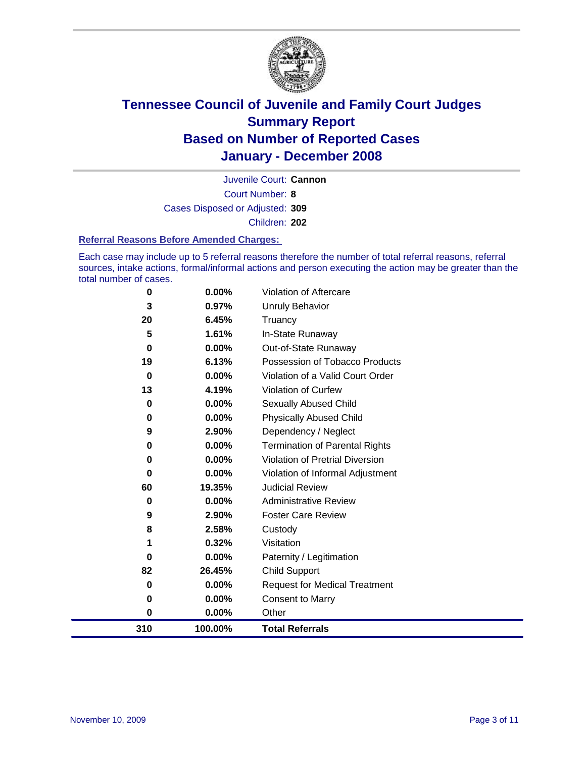

Court Number: **8** Juvenile Court: **Cannon** Cases Disposed or Adjusted: **309** Children: **202**

#### **Referral Reasons Before Amended Charges:**

Each case may include up to 5 referral reasons therefore the number of total referral reasons, referral sources, intake actions, formal/informal actions and person executing the action may be greater than the total number of cases.

| 310      | 100.00% | <b>Total Referrals</b>                 |
|----------|---------|----------------------------------------|
| 0        | 0.00%   | Other                                  |
| 0        | 0.00%   | <b>Consent to Marry</b>                |
| 0        | 0.00%   | <b>Request for Medical Treatment</b>   |
| 82       | 26.45%  | <b>Child Support</b>                   |
| 0        | 0.00%   | Paternity / Legitimation               |
| 1        | 0.32%   | Visitation                             |
| 8        | 2.58%   | Custody                                |
| 9        | 2.90%   | <b>Foster Care Review</b>              |
| 0        | 0.00%   | <b>Administrative Review</b>           |
| 60       | 19.35%  | <b>Judicial Review</b>                 |
| 0        | 0.00%   | Violation of Informal Adjustment       |
| 0        | 0.00%   | <b>Violation of Pretrial Diversion</b> |
| 0        | 0.00%   | <b>Termination of Parental Rights</b>  |
| 9        | 2.90%   | Dependency / Neglect                   |
| 0        | 0.00%   | <b>Physically Abused Child</b>         |
| 0        | 0.00%   | <b>Sexually Abused Child</b>           |
| 13       | 4.19%   | Violation of Curfew                    |
| $\bf{0}$ | 0.00%   | Violation of a Valid Court Order       |
| 19       | 6.13%   | Possession of Tobacco Products         |
| $\bf{0}$ | 0.00%   | Out-of-State Runaway                   |
| 5        | 1.61%   | In-State Runaway                       |
| 20       | 6.45%   | Truancy                                |
| 3        | 0.97%   | <b>Unruly Behavior</b>                 |
| 0        | 0.00%   | Violation of Aftercare                 |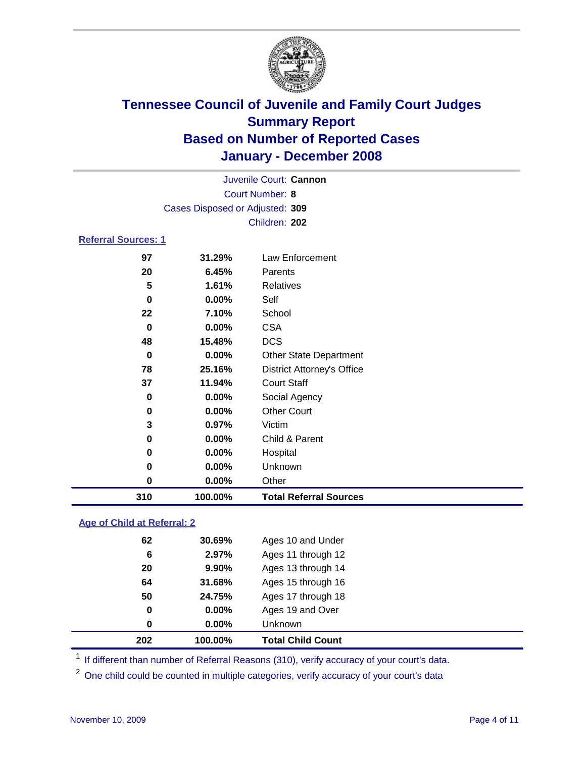

| Juvenile Court: Cannon          |  |
|---------------------------------|--|
| Court Number: 8                 |  |
| Cases Disposed or Adjusted: 309 |  |
| Children: 202                   |  |

#### **Referral Sources: 1**

| 97  | 31.29%  | Law Enforcement                   |
|-----|---------|-----------------------------------|
| 20  | 6.45%   | Parents                           |
| 5   | 1.61%   | Relatives                         |
| 0   | 0.00%   | Self                              |
| 22  | 7.10%   | School                            |
| 0   | 0.00%   | <b>CSA</b>                        |
| 48  | 15.48%  | <b>DCS</b>                        |
| 0   | 0.00%   | <b>Other State Department</b>     |
| 78  | 25.16%  | <b>District Attorney's Office</b> |
| 37  | 11.94%  | <b>Court Staff</b>                |
| 0   | 0.00%   | Social Agency                     |
| 0   | 0.00%   | <b>Other Court</b>                |
| 3   | 0.97%   | Victim                            |
| 0   | 0.00%   | Child & Parent                    |
| 0   | 0.00%   | Hospital                          |
| 0   | 0.00%   | Unknown                           |
| 0   | 0.00%   | Other                             |
| 310 | 100.00% | <b>Total Referral Sources</b>     |

#### **Age of Child at Referral: 2**

| 202 | 100.00%       | <b>Total Child Count</b> |
|-----|---------------|--------------------------|
|     | $0.00\%$<br>0 | Unknown                  |
|     | 0.00%<br>0    | Ages 19 and Over         |
| 50  | 24.75%        | Ages 17 through 18       |
| 64  | 31.68%        | Ages 15 through 16       |
| 20  | 9.90%         | Ages 13 through 14       |
|     | 2.97%<br>6    | Ages 11 through 12       |
| 62  | 30.69%        | Ages 10 and Under        |
|     |               |                          |

<sup>1</sup> If different than number of Referral Reasons (310), verify accuracy of your court's data.

<sup>2</sup> One child could be counted in multiple categories, verify accuracy of your court's data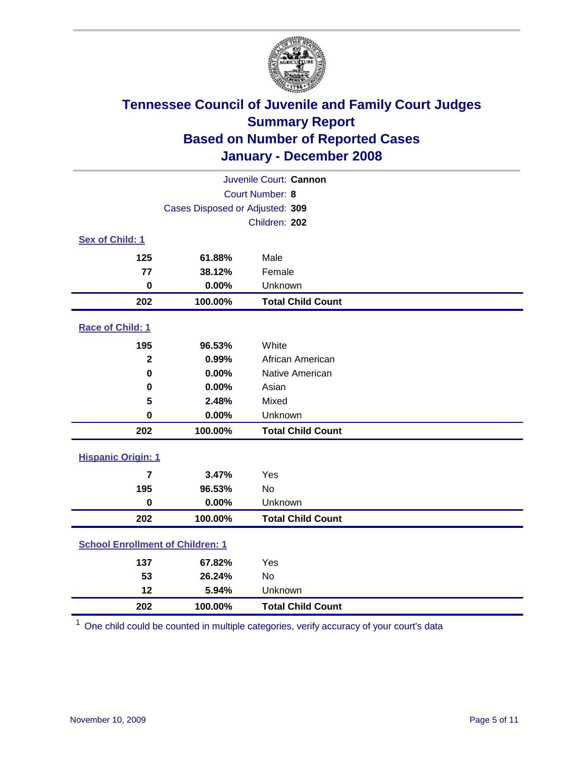

| Juvenile Court: Cannon                  |                                 |                          |  |  |  |  |
|-----------------------------------------|---------------------------------|--------------------------|--|--|--|--|
| Court Number: 8                         |                                 |                          |  |  |  |  |
|                                         | Cases Disposed or Adjusted: 309 |                          |  |  |  |  |
|                                         |                                 | Children: 202            |  |  |  |  |
| Sex of Child: 1                         |                                 |                          |  |  |  |  |
| 125                                     | 61.88%                          | Male                     |  |  |  |  |
| 77                                      | 38.12%                          | Female                   |  |  |  |  |
| $\mathbf 0$                             | 0.00%                           | Unknown                  |  |  |  |  |
| 202                                     | 100.00%                         | <b>Total Child Count</b> |  |  |  |  |
| Race of Child: 1                        |                                 |                          |  |  |  |  |
| 195                                     | 96.53%                          | White                    |  |  |  |  |
| $\overline{\mathbf{2}}$                 | 0.99%                           | African American         |  |  |  |  |
| $\bf{0}$                                | 0.00%                           | Native American          |  |  |  |  |
| 0                                       | 0.00%                           | Asian                    |  |  |  |  |
| 5                                       | 2.48%                           | Mixed                    |  |  |  |  |
| $\bf{0}$                                | 0.00%                           | Unknown                  |  |  |  |  |
| 202                                     | 100.00%                         | <b>Total Child Count</b> |  |  |  |  |
| <b>Hispanic Origin: 1</b>               |                                 |                          |  |  |  |  |
| $\overline{7}$                          | 3.47%                           | Yes                      |  |  |  |  |
| 195                                     | 96.53%                          | No                       |  |  |  |  |
| $\mathbf 0$                             | 0.00%                           | Unknown                  |  |  |  |  |
| 202                                     | 100.00%                         | <b>Total Child Count</b> |  |  |  |  |
| <b>School Enrollment of Children: 1</b> |                                 |                          |  |  |  |  |
| 137                                     | 67.82%                          | Yes                      |  |  |  |  |
| 53                                      | 26.24%                          | No                       |  |  |  |  |
| 12                                      | 5.94%                           | Unknown                  |  |  |  |  |
| 202                                     | 100.00%                         | <b>Total Child Count</b> |  |  |  |  |

One child could be counted in multiple categories, verify accuracy of your court's data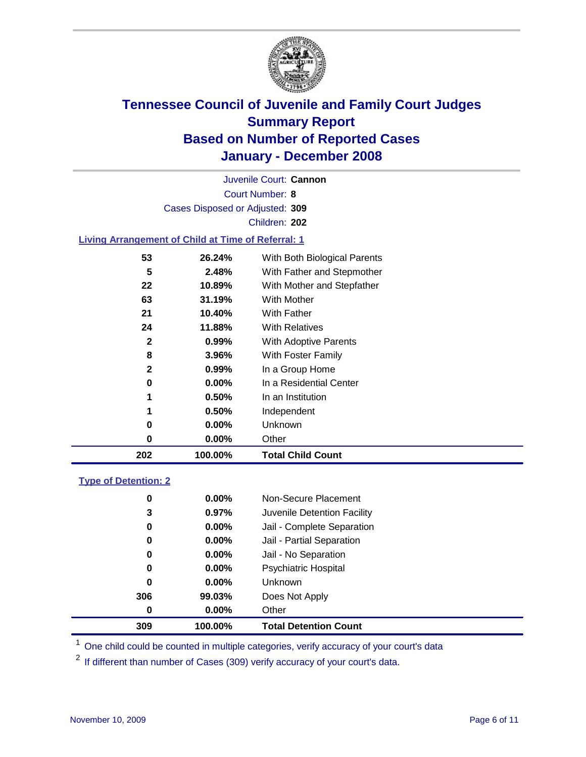

Court Number: **8** Juvenile Court: **Cannon** Cases Disposed or Adjusted: **309** Children: **202**

#### **Living Arrangement of Child at Time of Referral: 1**

| 202 | 100.00%  | <b>Total Child Count</b>     |
|-----|----------|------------------------------|
| 0   | 0.00%    | Other                        |
| 0   | 0.00%    | Unknown                      |
| 1   | $0.50\%$ | Independent                  |
| 1   | 0.50%    | In an Institution            |
| 0   | $0.00\%$ | In a Residential Center      |
| 2   | 0.99%    | In a Group Home              |
| 8   | 3.96%    | With Foster Family           |
| 2   | 0.99%    | With Adoptive Parents        |
| 24  | 11.88%   | <b>With Relatives</b>        |
| 21  | 10.40%   | With Father                  |
| 63  | 31.19%   | With Mother                  |
| 22  | 10.89%   | With Mother and Stepfather   |
| 5   | 2.48%    | With Father and Stepmother   |
| 53  | 26.24%   | With Both Biological Parents |
|     |          |                              |

#### **Type of Detention: 2**

| 309 | 100.00%       |                | <b>Total Detention Count</b> |
|-----|---------------|----------------|------------------------------|
|     | $0.00\%$<br>0 | Other          |                              |
| 306 | 99.03%        |                | Does Not Apply               |
|     | 0<br>$0.00\%$ | <b>Unknown</b> |                              |
|     | $0.00\%$<br>0 |                | <b>Psychiatric Hospital</b>  |
|     | 0.00%<br>0    |                | Jail - No Separation         |
|     | 0<br>$0.00\%$ |                | Jail - Partial Separation    |
|     | 0<br>$0.00\%$ |                | Jail - Complete Separation   |
|     | 3<br>0.97%    |                | Juvenile Detention Facility  |
|     | 0<br>$0.00\%$ |                | Non-Secure Placement         |
|     |               |                |                              |

<sup>1</sup> One child could be counted in multiple categories, verify accuracy of your court's data

<sup>2</sup> If different than number of Cases (309) verify accuracy of your court's data.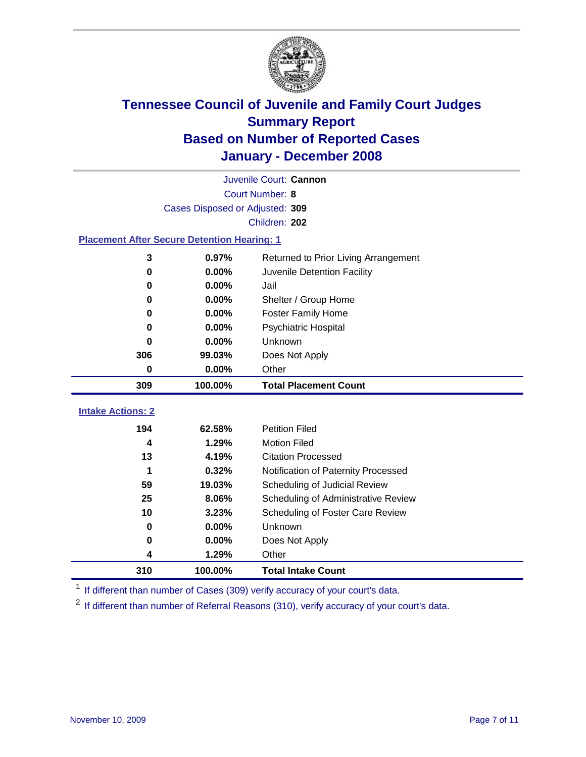

|                                           | Juvenile Court: Cannon                             |                                      |  |  |  |  |  |
|-------------------------------------------|----------------------------------------------------|--------------------------------------|--|--|--|--|--|
|                                           | Court Number: 8                                    |                                      |  |  |  |  |  |
|                                           | Cases Disposed or Adjusted: 309                    |                                      |  |  |  |  |  |
|                                           | Children: 202                                      |                                      |  |  |  |  |  |
|                                           | <b>Placement After Secure Detention Hearing: 1</b> |                                      |  |  |  |  |  |
| 3                                         | 0.97%                                              | Returned to Prior Living Arrangement |  |  |  |  |  |
| 0.00%<br>Juvenile Detention Facility<br>0 |                                                    |                                      |  |  |  |  |  |
| 0                                         | 0.00%                                              | Jail                                 |  |  |  |  |  |
| 0                                         | 0.00%                                              | Shelter / Group Home                 |  |  |  |  |  |
| 0                                         | 0.00%                                              | <b>Foster Family Home</b>            |  |  |  |  |  |
| 0                                         | 0.00%                                              | Psychiatric Hospital                 |  |  |  |  |  |
| 0                                         | 0.00%                                              | Unknown                              |  |  |  |  |  |
| 306                                       | 99.03%                                             | Does Not Apply                       |  |  |  |  |  |
| 0                                         | 0.00%                                              | Other                                |  |  |  |  |  |
| 309                                       | 100.00%                                            | <b>Total Placement Count</b>         |  |  |  |  |  |
| <b>Intake Actions: 2</b>                  |                                                    |                                      |  |  |  |  |  |
| 194                                       | 62.58%                                             | <b>Petition Filed</b>                |  |  |  |  |  |
| 4                                         | 1.29%                                              | <b>Motion Filed</b>                  |  |  |  |  |  |
| 13                                        | 4.19%                                              | <b>Citation Processed</b>            |  |  |  |  |  |
| 1                                         | 0.32%                                              | Notification of Paternity Processed  |  |  |  |  |  |
| 59                                        |                                                    |                                      |  |  |  |  |  |
|                                           | 19.03%                                             | Scheduling of Judicial Review        |  |  |  |  |  |
| 25                                        | 8.06%                                              | Scheduling of Administrative Review  |  |  |  |  |  |
| 10                                        | 3.23%                                              | Scheduling of Foster Care Review     |  |  |  |  |  |
| 0                                         | 0.00%                                              | Unknown                              |  |  |  |  |  |
| 0                                         | 0.00%                                              | Does Not Apply                       |  |  |  |  |  |
| 4                                         | 1.29%                                              | Other                                |  |  |  |  |  |

<sup>1</sup> If different than number of Cases (309) verify accuracy of your court's data.

<sup>2</sup> If different than number of Referral Reasons (310), verify accuracy of your court's data.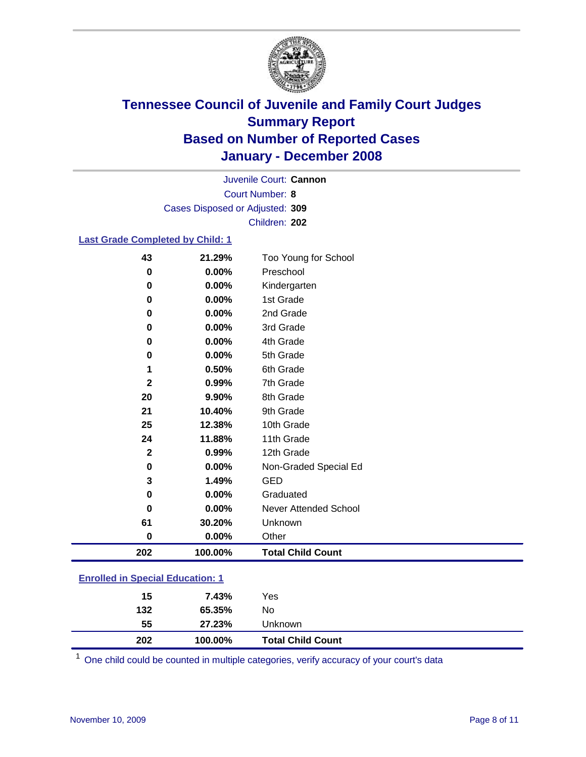

Court Number: **8** Juvenile Court: **Cannon** Cases Disposed or Adjusted: **309** Children: **202**

#### **Last Grade Completed by Child: 1**

| 43           | 21.29%  | Too Young for School     |
|--------------|---------|--------------------------|
| 0            | 0.00%   | Preschool                |
| $\bf{0}$     | 0.00%   | Kindergarten             |
| 0            | 0.00%   | 1st Grade                |
| 0            | 0.00%   | 2nd Grade                |
| 0            | 0.00%   | 3rd Grade                |
| 0            | 0.00%   | 4th Grade                |
| 0            | 0.00%   | 5th Grade                |
| 1            | 0.50%   | 6th Grade                |
| $\mathbf{2}$ | 0.99%   | 7th Grade                |
| 20           | 9.90%   | 8th Grade                |
| 21           | 10.40%  | 9th Grade                |
| 25           | 12.38%  | 10th Grade               |
| 24           | 11.88%  | 11th Grade               |
| $\mathbf{2}$ | 0.99%   | 12th Grade               |
| $\bf{0}$     | 0.00%   | Non-Graded Special Ed    |
| 3            | 1.49%   | <b>GED</b>               |
| 0            | 0.00%   | Graduated                |
| $\bf{0}$     | 0.00%   | Never Attended School    |
| 61           | 30.20%  | Unknown                  |
| $\bf{0}$     | 0.00%   | Other                    |
| 202          | 100.00% | <b>Total Child Count</b> |

### **Enrolled in Special Education: 1**

| 15        | 7.43%            | Yes                      |
|-----------|------------------|--------------------------|
| 132<br>55 | 65.35%<br>27.23% | No<br>Unknown            |
| 202       | 100.00%          | <b>Total Child Count</b> |

<sup>1</sup> One child could be counted in multiple categories, verify accuracy of your court's data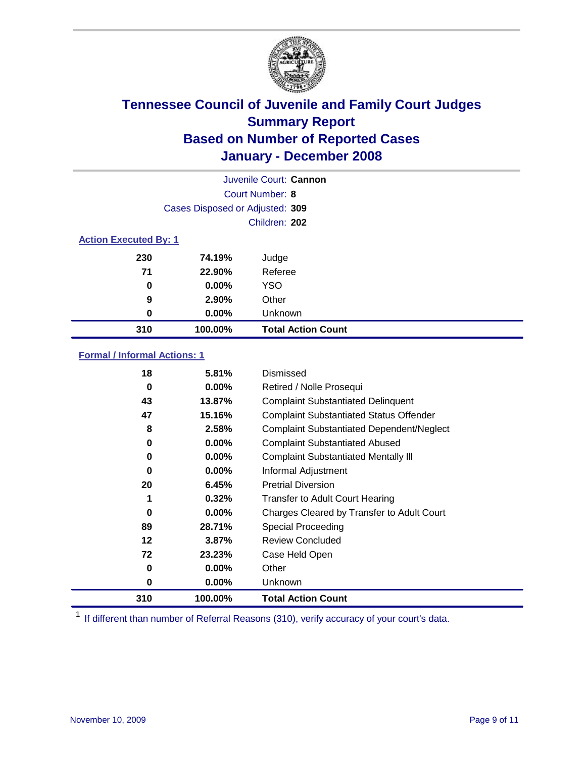

|                              |                                 | Juvenile Court: Cannon    |
|------------------------------|---------------------------------|---------------------------|
|                              |                                 | Court Number: 8           |
|                              | Cases Disposed or Adjusted: 309 |                           |
|                              |                                 | Children: 202             |
| <b>Action Executed By: 1</b> |                                 |                           |
| 230                          | 74.19%                          | Judge                     |
| 71                           | 22.90%                          | Referee                   |
| 0                            | $0.00\%$                        | <b>YSO</b>                |
| 9                            | 2.90%                           | Other                     |
| $\bf{0}$                     | $0.00\%$                        | Unknown                   |
| 310                          | 100.00%                         | <b>Total Action Count</b> |

### **Formal / Informal Actions: 1**

| 18  | 5.81%    | Dismissed                                        |
|-----|----------|--------------------------------------------------|
| 0   | $0.00\%$ | Retired / Nolle Prosequi                         |
| 43  | 13.87%   | <b>Complaint Substantiated Delinquent</b>        |
| 47  | 15.16%   | <b>Complaint Substantiated Status Offender</b>   |
| 8   | 2.58%    | <b>Complaint Substantiated Dependent/Neglect</b> |
| 0   | 0.00%    | <b>Complaint Substantiated Abused</b>            |
| 0   | 0.00%    | <b>Complaint Substantiated Mentally III</b>      |
| 0   | $0.00\%$ | Informal Adjustment                              |
| 20  | 6.45%    | <b>Pretrial Diversion</b>                        |
| 1   | 0.32%    | <b>Transfer to Adult Court Hearing</b>           |
| 0   | $0.00\%$ | Charges Cleared by Transfer to Adult Court       |
| 89  | 28.71%   | Special Proceeding                               |
| 12  | 3.87%    | <b>Review Concluded</b>                          |
| 72  | 23.23%   | Case Held Open                                   |
| 0   | 0.00%    | Other                                            |
| 0   | $0.00\%$ | Unknown                                          |
| 310 | 100.00%  | <b>Total Action Count</b>                        |

<sup>1</sup> If different than number of Referral Reasons (310), verify accuracy of your court's data.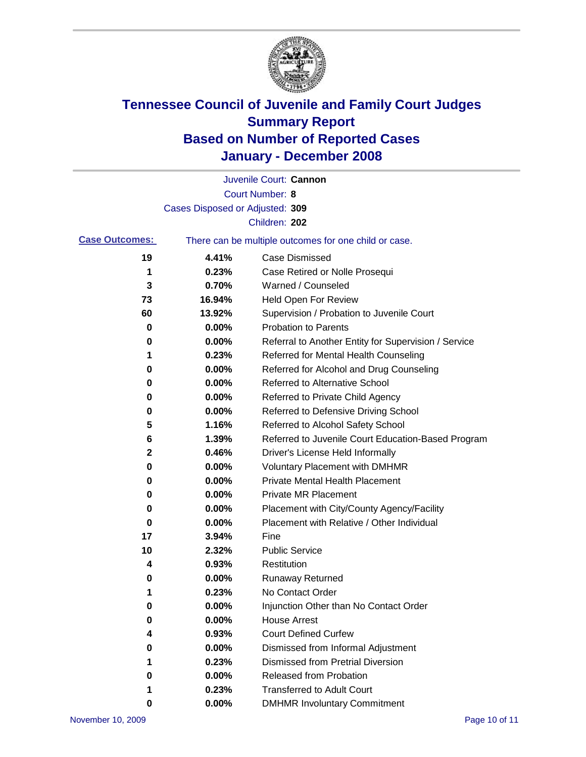

|                       |                                 | Juvenile Court: Cannon                                |
|-----------------------|---------------------------------|-------------------------------------------------------|
|                       |                                 | Court Number: 8                                       |
|                       | Cases Disposed or Adjusted: 309 |                                                       |
|                       |                                 | Children: 202                                         |
| <b>Case Outcomes:</b> |                                 | There can be multiple outcomes for one child or case. |
| 19                    | 4.41%                           | <b>Case Dismissed</b>                                 |
| 1                     | 0.23%                           | Case Retired or Nolle Prosequi                        |
| 3                     | 0.70%                           | Warned / Counseled                                    |
| 73                    | 16.94%                          | Held Open For Review                                  |
| 60                    | 13.92%                          | Supervision / Probation to Juvenile Court             |
| 0                     | 0.00%                           | <b>Probation to Parents</b>                           |
| 0                     | 0.00%                           | Referral to Another Entity for Supervision / Service  |
| 1                     | 0.23%                           | Referred for Mental Health Counseling                 |
| 0                     | 0.00%                           | Referred for Alcohol and Drug Counseling              |
| 0                     | 0.00%                           | Referred to Alternative School                        |
| 0                     | 0.00%                           | Referred to Private Child Agency                      |
| 0                     | 0.00%                           | Referred to Defensive Driving School                  |
| 5                     | 1.16%                           | Referred to Alcohol Safety School                     |
| 6                     | 1.39%                           | Referred to Juvenile Court Education-Based Program    |
| 2                     | 0.46%                           | Driver's License Held Informally                      |
| 0                     | 0.00%                           | <b>Voluntary Placement with DMHMR</b>                 |
| 0                     | 0.00%                           | <b>Private Mental Health Placement</b>                |
| 0                     | 0.00%                           | <b>Private MR Placement</b>                           |
| 0                     | 0.00%                           | Placement with City/County Agency/Facility            |
| 0                     | 0.00%                           | Placement with Relative / Other Individual            |
| 17                    | 3.94%                           | Fine                                                  |
| 10                    | 2.32%                           | <b>Public Service</b>                                 |
| 4                     | 0.93%                           | Restitution                                           |
| 0                     | 0.00%                           | <b>Runaway Returned</b>                               |
| 1                     | 0.23%                           | No Contact Order                                      |
| $\boldsymbol{0}$      | 0.00%                           | Injunction Other than No Contact Order                |
| 0                     | 0.00%                           | <b>House Arrest</b>                                   |
| 4                     | 0.93%                           | <b>Court Defined Curfew</b>                           |
| 0                     | 0.00%                           | Dismissed from Informal Adjustment                    |
| 1                     | 0.23%                           | <b>Dismissed from Pretrial Diversion</b>              |
| 0                     | 0.00%                           | Released from Probation                               |
| 1                     | 0.23%                           | <b>Transferred to Adult Court</b>                     |
| 0                     | 0.00%                           | <b>DMHMR Involuntary Commitment</b>                   |